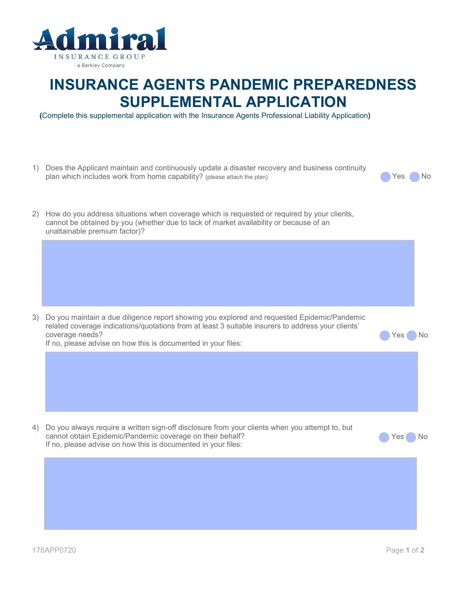

## **INSURANCE AGENTS PANDEMIC PREPAREDNESS SUPPLEMENTAL APPLICATION**

**(**Complete this supplemental application with the Insurance Agents Professional Liability Application**)** 

1) Does the Applicant maintain and continuously update a disaster recovery and business continuity plan which includes work from home capability? (please attach the plan) yes No 2) How do you address situations when coverage which is requested or required by your clients, cannot be obtained by you (whether due to lack of market availability or because of an unattainable premium factor)?

3) Do you maintain a due diligence report showing you explored and requested Epidemic/Pandemic related coverage indications/quotations from at least 3 suitable insurers to address your clients' coverage needs? No was a set of the coverage needs? If no, please advise on how this is documented in your files:

4) Do you always require a written sign-off disclosure from your clients when you attempt to, but cannot obtain Epidemic/Pandemic coverage on their behalf? 
Wes No If no, please advise on how this is documented in your files: